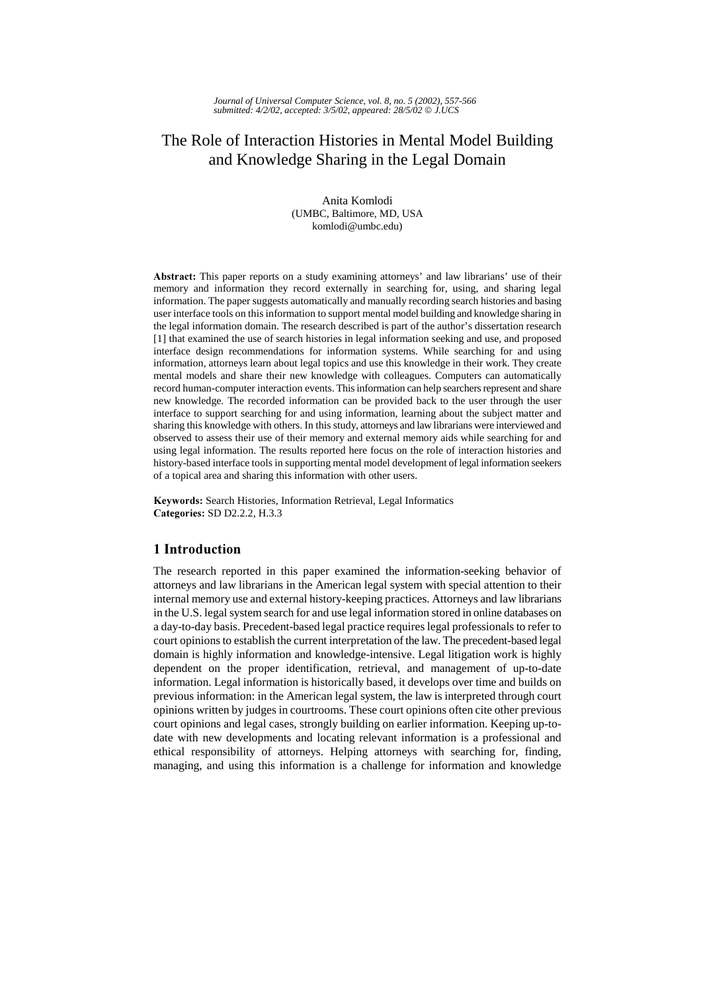# The Role of Interaction Histories in Mental Model Building and Knowledge Sharing in the Legal Domain

Anita Komlodi (UMBC, Baltimore, MD, USA komlodi@umbc.edu)

Abstract: This paper reports on a study examining attorneys' and law librarians' use of their memory and information they record externally in searching for, using, and sharing legal information. The paper suggests automatically and manually recording search histories and basing user interface tools on this information to support mental model building and knowledge sharing in the legal information domain. The research described is part of the author's dissertation research [1] that examined the use of search histories in legal information seeking and use, and proposed interface design recommendations for information systems. While searching for and using information, attorneys learn about legal topics and use this knowledge in their work. They create mental models and share their new knowledge with colleagues. Computers can automatically record human-computer interaction events. This information can help searchers represent and share new knowledge. The recorded information can be provided back to the user through the user interface to support searching for and using information, learning about the subject matter and sharing this knowledge with others. In this study, attorneys and law librarians were interviewed and observed to assess their use of their memory and external memory aids while searching for and using legal information. The results reported here focus on the role of interaction histories and history-based interface tools in supporting mental model development of legal information seekers of a topical area and sharing this information with other users.

Keywords: Search Histories, Information Retrieval, Legal Informatics Categories: SD D2.2.2, H.3.3

# 1 Introduction

The research reported in this paper examined the information-seeking behavior of attorneys and law librarians in the American legal system with special attention to their internal memory use and external history-keeping practices. Attorneys and law librarians in the U.S. legal system search for and use legal information stored in online databases on a day-to-day basis. Precedent-based legal practice requires legal professionals to refer to court opinions to establish the current interpretation of the law. The precedent-based legal domain is highly information and knowledge-intensive. Legal litigation work is highly dependent on the proper identification, retrieval, and management of up-to-date information. Legal information is historically based, it develops over time and builds on previous information: in the American legal system, the law is interpreted through court opinions written by judges in courtrooms. These court opinions often cite other previous court opinions and legal cases, strongly building on earlier information. Keeping up-todate with new developments and locating relevant information is a professional and ethical responsibility of attorneys. Helping attorneys with searching for, finding, managing, and using this information is a challenge for information and knowledge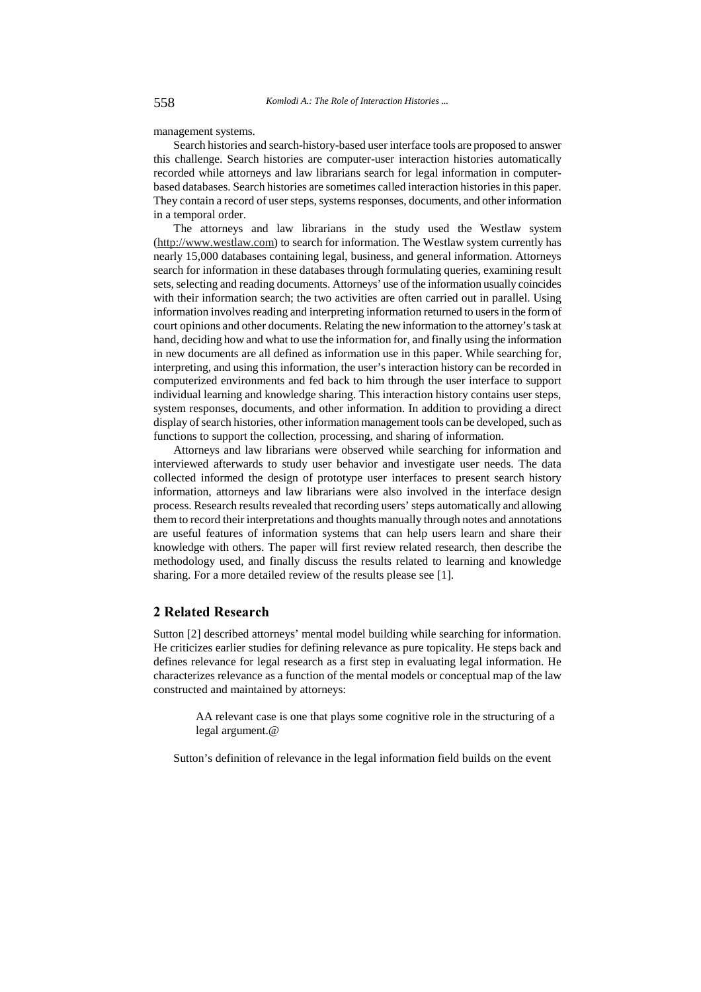management systems.

Search histories and search-history-based user interface tools are proposed to answer this challenge. Search histories are computer-user interaction histories automatically recorded while attorneys and law librarians search for legal information in computerbased databases. Search histories are sometimes called interaction histories in this paper. They contain a record of user steps, systems responses, documents, and other information in a temporal order.

The attorneys and law librarians in the study used the Westlaw system (http://www.westlaw.com) to search for information. The Westlaw system currently has nearly 15,000 databases containing legal, business, and general information. Attorneys search for information in these databases through formulating queries, examining result sets, selecting and reading documents. Attorneys' use of the information usually coincides with their information search; the two activities are often carried out in parallel. Using information involves reading and interpreting information returned to users in the form of court opinions and other documents. Relating the new information to the attorney's task at hand, deciding how and what to use the information for, and finally using the information in new documents are all defined as information use in this paper. While searching for, interpreting, and using this information, the user's interaction history can be recorded in computerized environments and fed back to him through the user interface to support individual learning and knowledge sharing. This interaction history contains user steps, system responses, documents, and other information. In addition to providing a direct display of search histories, other information management tools can be developed, such as functions to support the collection, processing, and sharing of information.

Attorneys and law librarians were observed while searching for information and interviewed afterwards to study user behavior and investigate user needs. The data collected informed the design of prototype user interfaces to present search history information, attorneys and law librarians were also involved in the interface design process. Research results revealed that recording users' steps automatically and allowing them to record their interpretations and thoughts manually through notes and annotations are useful features of information systems that can help users learn and share their knowledge with others. The paper will first review related research, then describe the methodology used, and finally discuss the results related to learning and knowledge sharing. For a more detailed review of the results please see [1].

### 2 Related Research

Sutton [2] described attorneys' mental model building while searching for information. He criticizes earlier studies for defining relevance as pure topicality. He steps back and defines relevance for legal research as a first step in evaluating legal information. He characterizes relevance as a function of the mental models or conceptual map of the law constructed and maintained by attorneys:

> AA relevant case is one that plays some cognitive role in the structuring of a legal argument.@

Sutton's definition of relevance in the legal information field builds on the event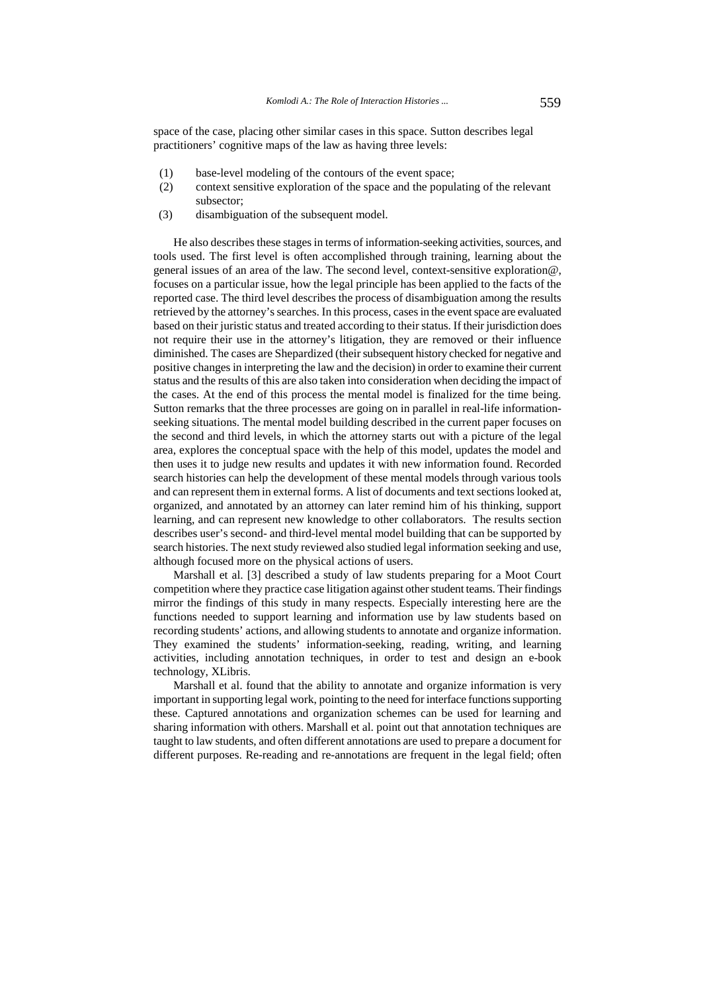space of the case, placing other similar cases in this space. Sutton describes legal practitioners' cognitive maps of the law as having three levels:

- (1) base-level modeling of the contours of the event space;
- (2) context sensitive exploration of the space and the populating of the relevant subsector;
- (3) disambiguation of the subsequent model.

He also describes these stages in terms of information-seeking activities, sources, and tools used. The first level is often accomplished through training, learning about the general issues of an area of the law. The second level, context-sensitive exploration@, focuses on a particular issue, how the legal principle has been applied to the facts of the reported case. The third level describes the process of disambiguation among the results retrieved by the attorney's searches. In this process, cases in the event space are evaluated based on their juristic status and treated according to their status. If their jurisdiction does not require their use in the attorney's litigation, they are removed or their influence diminished. The cases are Shepardized (their subsequent history checked for negative and positive changes in interpreting the law and the decision) in order to examine their current status and the results of this are also taken into consideration when deciding the impact of the cases. At the end of this process the mental model is finalized for the time being. Sutton remarks that the three processes are going on in parallel in real-life informationseeking situations. The mental model building described in the current paper focuses on the second and third levels, in which the attorney starts out with a picture of the legal area, explores the conceptual space with the help of this model, updates the model and then uses it to judge new results and updates it with new information found. Recorded search histories can help the development of these mental models through various tools and can represent them in external forms. A list of documents and text sections looked at, organized, and annotated by an attorney can later remind him of his thinking, support learning, and can represent new knowledge to other collaborators. The results section describes user's second- and third-level mental model building that can be supported by search histories. The next study reviewed also studied legal information seeking and use, although focused more on the physical actions of users.

Marshall et al. [3] described a study of law students preparing for a Moot Court competition where they practice case litigation against other student teams. Their findings mirror the findings of this study in many respects. Especially interesting here are the functions needed to support learning and information use by law students based on recording students' actions, and allowing students to annotate and organize information. They examined the students' information-seeking, reading, writing, and learning activities, including annotation techniques, in order to test and design an e-book technology, XLibris.

Marshall et al. found that the ability to annotate and organize information is very important in supporting legal work, pointing to the need for interface functions supporting these. Captured annotations and organization schemes can be used for learning and sharing information with others. Marshall et al. point out that annotation techniques are taught to law students, and often different annotations are used to prepare a document for different purposes. Re-reading and re-annotations are frequent in the legal field; often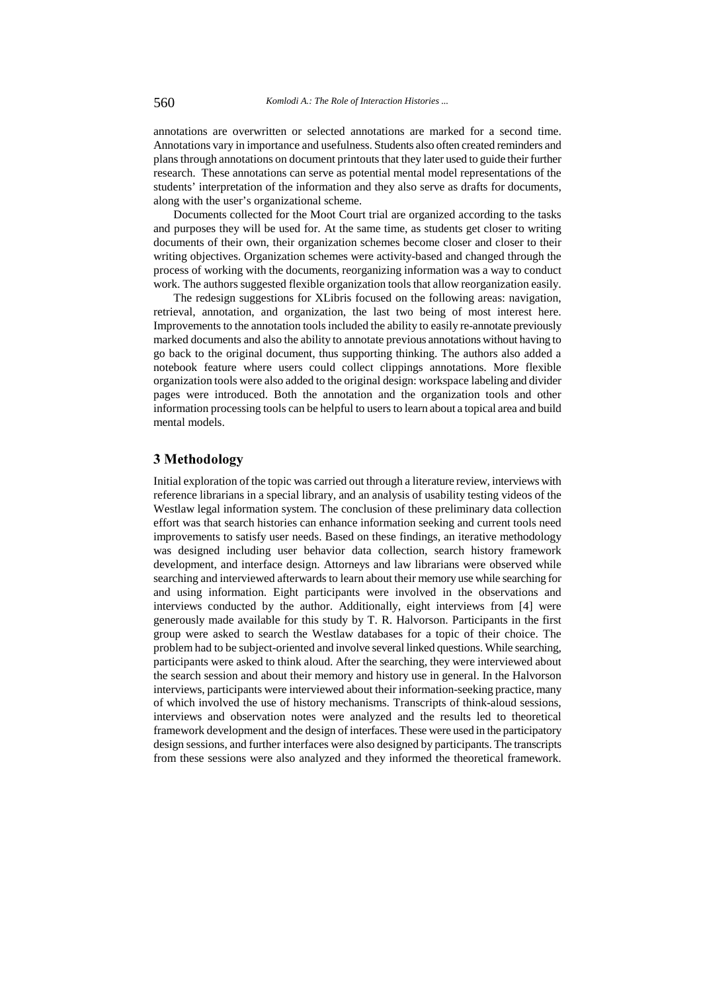annotations are overwritten or selected annotations are marked for a second time. Annotations vary in importance and usefulness. Students also often created reminders and plans through annotations on document printouts that they later used to guide their further research. These annotations can serve as potential mental model representations of the students' interpretation of the information and they also serve as drafts for documents, along with the user's organizational scheme.

Documents collected for the Moot Court trial are organized according to the tasks and purposes they will be used for. At the same time, as students get closer to writing documents of their own, their organization schemes become closer and closer to their writing objectives. Organization schemes were activity-based and changed through the process of working with the documents, reorganizing information was a way to conduct work. The authors suggested flexible organization tools that allow reorganization easily.

The redesign suggestions for XLibris focused on the following areas: navigation, retrieval, annotation, and organization, the last two being of most interest here. Improvements to the annotation tools included the ability to easily re-annotate previously marked documents and also the ability to annotate previous annotations without having to go back to the original document, thus supporting thinking. The authors also added a notebook feature where users could collect clippings annotations. More flexible organization tools were also added to the original design: workspace labeling and divider pages were introduced. Both the annotation and the organization tools and other information processing tools can be helpful to users to learn about a topical area and build mental models.

### 3 Methodology

Initial exploration of the topic was carried out through a literature review, interviews with reference librarians in a special library, and an analysis of usability testing videos of the Westlaw legal information system. The conclusion of these preliminary data collection effort was that search histories can enhance information seeking and current tools need improvements to satisfy user needs. Based on these findings, an iterative methodology was designed including user behavior data collection, search history framework development, and interface design. Attorneys and law librarians were observed while searching and interviewed afterwards to learn about their memory use while searching for and using information. Eight participants were involved in the observations and interviews conducted by the author. Additionally, eight interviews from [4] were generously made available for this study by T. R. Halvorson. Participants in the first group were asked to search the Westlaw databases for a topic of their choice. The problem had to be subject-oriented and involve several linked questions. While searching, participants were asked to think aloud. After the searching, they were interviewed about the search session and about their memory and history use in general. In the Halvorson interviews, participants were interviewed about their information-seeking practice, many of which involved the use of history mechanisms. Transcripts of think-aloud sessions, interviews and observation notes were analyzed and the results led to theoretical framework development and the design of interfaces. These were used in the participatory design sessions, and further interfaces were also designed by participants. The transcripts from these sessions were also analyzed and they informed the theoretical framework.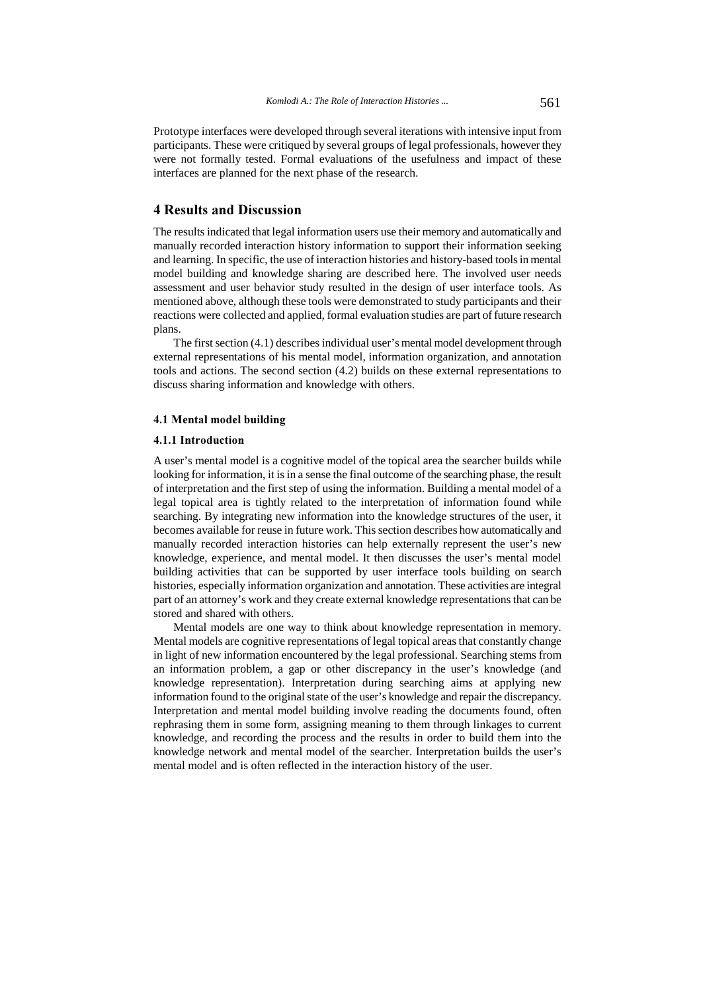Prototype interfaces were developed through several iterations with intensive input from participants. These were critiqued by several groups of legal professionals, however they were not formally tested. Formal evaluations of the usefulness and impact of these interfaces are planned for the next phase of the research.

### **4 Results and Discussion**

The results indicated that legal information users use their memory and automatically and manually recorded interaction history information to support their information seeking and learning. In specific, the use of interaction histories and history-based tools in mental model building and knowledge sharing are described here. The involved user needs assessment and user behavior study resulted in the design of user interface tools. As mentioned above, although these tools were demonstrated to study participants and their reactions were collected and applied, formal evaluation studies are part of future research plans.

The first section (4.1) describes individual user's mental model development through external representations of his mental model, information organization, and annotation tools and actions. The second section (4.2) builds on these external representations to discuss sharing information and knowledge with others.

#### 4.1 Mental model building

#### 4.1.1 Introduction

A user's mental model is a cognitive model of the topical area the searcher builds while looking for information, it is in a sense the final outcome of the searching phase, the result of interpretation and the first step of using the information. Building a mental model of a legal topical area is tightly related to the interpretation of information found while searching. By integrating new information into the knowledge structures of the user, it becomes available for reuse in future work. This section describes how automatically and manually recorded interaction histories can help externally represent the user's new knowledge, experience, and mental model. It then discusses the user's mental model building activities that can be supported by user interface tools building on search histories, especially information organization and annotation. These activities are integral part of an attorney's work and they create external knowledge representations that can be stored and shared with others.

Mental models are one way to think about knowledge representation in memory. Mental models are cognitive representations of legal topical areas that constantly change in light of new information encountered by the legal professional. Searching stems from an information problem, a gap or other discrepancy in the user's knowledge (and knowledge representation). Interpretation during searching aims at applying new information found to the original state of the user's knowledge and repair the discrepancy. Interpretation and mental model building involve reading the documents found, often rephrasing them in some form, assigning meaning to them through linkages to current knowledge, and recording the process and the results in order to build them into the knowledge network and mental model of the searcher. Interpretation builds the user's mental model and is often reflected in the interaction history of the user.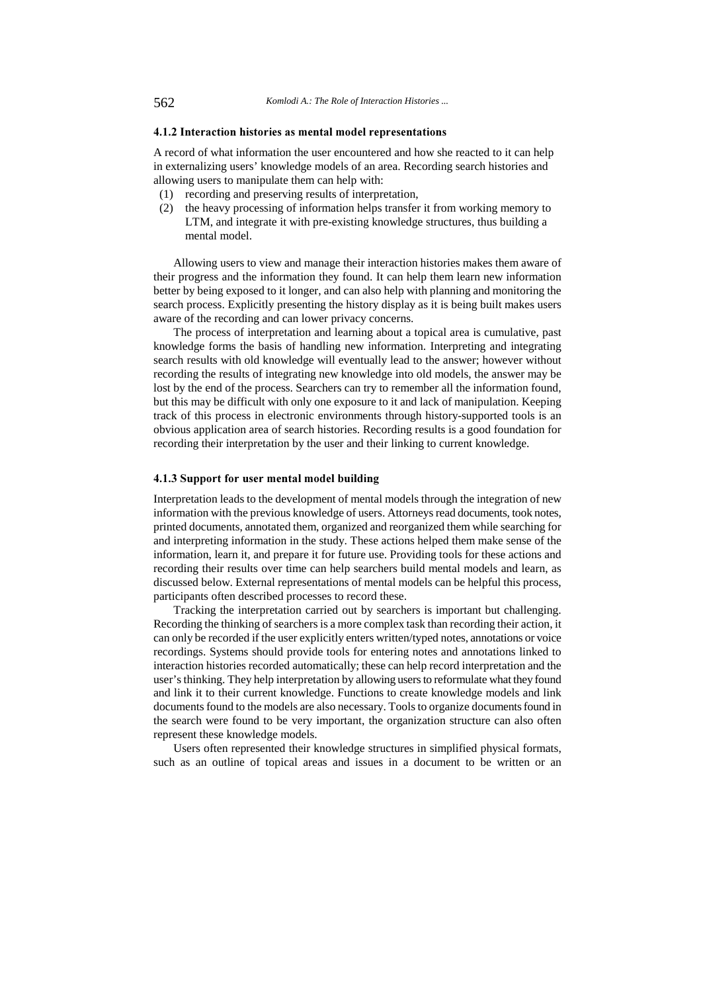#### 4.1.2 Interaction histories as mental model representations

A record of what information the user encountered and how she reacted to it can help in externalizing users' knowledge models of an area. Recording search histories and allowing users to manipulate them can help with:

- (1) recording and preserving results of interpretation,
- (2) the heavy processing of information helps transfer it from working memory to LTM, and integrate it with pre-existing knowledge structures, thus building a mental model.

Allowing users to view and manage their interaction histories makes them aware of their progress and the information they found. It can help them learn new information better by being exposed to it longer, and can also help with planning and monitoring the search process. Explicitly presenting the history display as it is being built makes users aware of the recording and can lower privacy concerns.

The process of interpretation and learning about a topical area is cumulative, past knowledge forms the basis of handling new information. Interpreting and integrating search results with old knowledge will eventually lead to the answer; however without recording the results of integrating new knowledge into old models, the answer may be lost by the end of the process. Searchers can try to remember all the information found, but this may be difficult with only one exposure to it and lack of manipulation. Keeping track of this process in electronic environments through history-supported tools is an obvious application area of search histories. Recording results is a good foundation for recording their interpretation by the user and their linking to current knowledge.

#### 4.1.3 Support for user mental model building

Interpretation leads to the development of mental models through the integration of new information with the previous knowledge of users. Attorneys read documents, took notes, printed documents, annotated them, organized and reorganized them while searching for and interpreting information in the study. These actions helped them make sense of the information, learn it, and prepare it for future use. Providing tools for these actions and recording their results over time can help searchers build mental models and learn, as discussed below. External representations of mental models can be helpful this process, participants often described processes to record these.

Tracking the interpretation carried out by searchers is important but challenging. Recording the thinking of searchers is a more complex task than recording their action, it can only be recorded if the user explicitly enters written/typed notes, annotations or voice recordings. Systems should provide tools for entering notes and annotations linked to interaction histories recorded automatically; these can help record interpretation and the user's thinking. They help interpretation by allowing users to reformulate what they found and link it to their current knowledge. Functions to create knowledge models and link documents found to the models are also necessary. Tools to organize documents found in the search were found to be very important, the organization structure can also often represent these knowledge models.

Users often represented their knowledge structures in simplified physical formats, such as an outline of topical areas and issues in a document to be written or an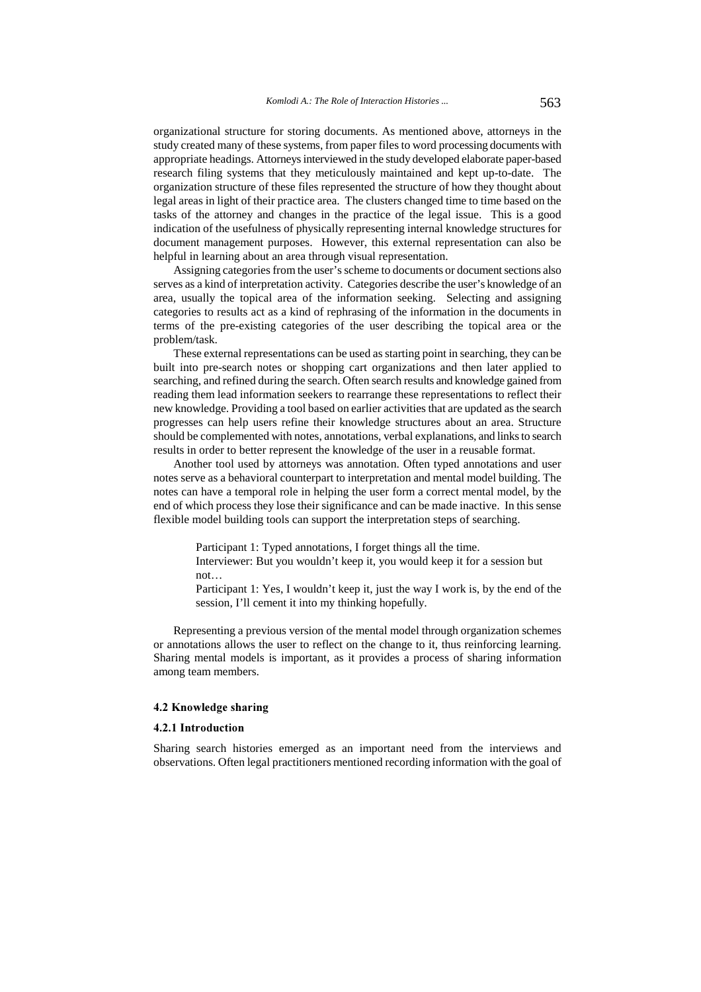organizational structure for storing documents. As mentioned above, attorneys in the study created many of these systems, from paper files to word processing documents with appropriate headings. Attorneys interviewed in the study developed elaborate paper-based research filing systems that they meticulously maintained and kept up-to-date. The organization structure of these files represented the structure of how they thought about legal areas in light of their practice area. The clusters changed time to time based on the tasks of the attorney and changes in the practice of the legal issue. This is a good indication of the usefulness of physically representing internal knowledge structures for document management purposes. However, this external representation can also be helpful in learning about an area through visual representation.

Assigning categories from the user's scheme to documents or document sections also serves as a kind of interpretation activity. Categories describe the user's knowledge of an area, usually the topical area of the information seeking. Selecting and assigning categories to results act as a kind of rephrasing of the information in the documents in terms of the pre-existing categories of the user describing the topical area or the problem/task.

These external representations can be used as starting point in searching, they can be built into pre-search notes or shopping cart organizations and then later applied to searching, and refined during the search. Often search results and knowledge gained from reading them lead information seekers to rearrange these representations to reflect their new knowledge. Providing a tool based on earlier activities that are updated as the search progresses can help users refine their knowledge structures about an area. Structure should be complemented with notes, annotations, verbal explanations, and links to search results in order to better represent the knowledge of the user in a reusable format.

Another tool used by attorneys was annotation. Often typed annotations and user notes serve as a behavioral counterpart to interpretation and mental model building. The notes can have a temporal role in helping the user form a correct mental model, by the end of which process they lose their significance and can be made inactive. In this sense flexible model building tools can support the interpretation steps of searching.

Participant 1: Typed annotations, I forget things all the time.

Interviewer: But you wouldn't keep it, you would keep it for a session but not…

Participant 1: Yes, I wouldn't keep it, just the way I work is, by the end of the session, I'll cement it into my thinking hopefully.

Representing a previous version of the mental model through organization schemes or annotations allows the user to reflect on the change to it, thus reinforcing learning. Sharing mental models is important, as it provides a process of sharing information among team members.

#### 4.2 Knowledge sharing

### 4.2.1 Introduction

Sharing search histories emerged as an important need from the interviews and observations. Often legal practitioners mentioned recording information with the goal of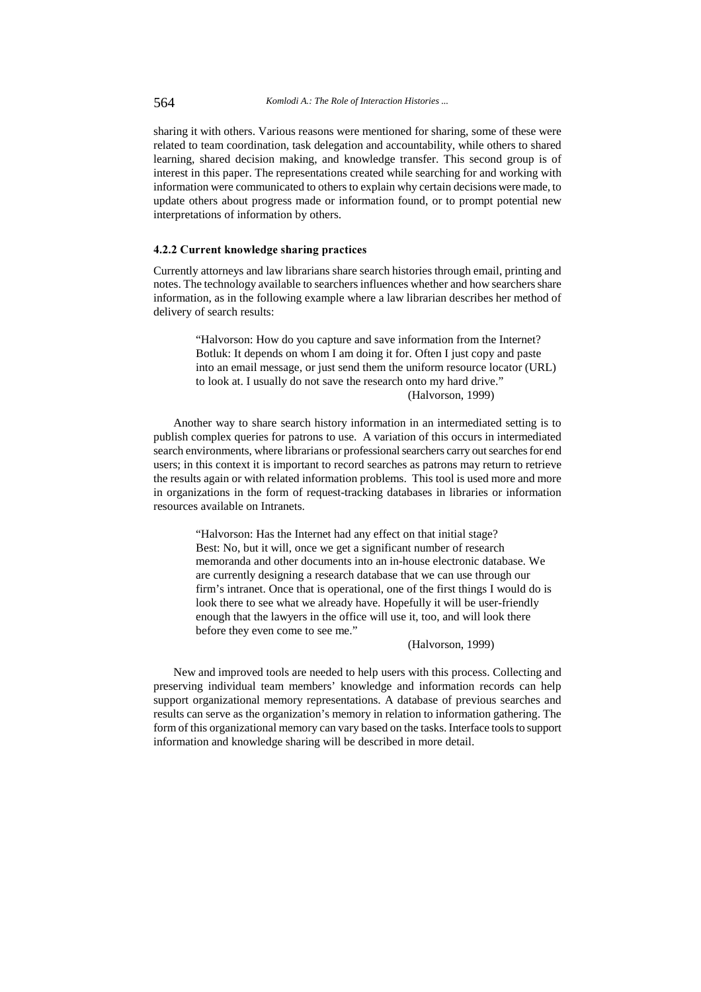sharing it with others. Various reasons were mentioned for sharing, some of these were related to team coordination, task delegation and accountability, while others to shared learning, shared decision making, and knowledge transfer. This second group is of interest in this paper. The representations created while searching for and working with information were communicated to others to explain why certain decisions were made, to update others about progress made or information found, or to prompt potential new interpretations of information by others.

#### 4.2.2 Current knowledge sharing practices

Currently attorneys and law librarians share search histories through email, printing and notes. The technology available to searchers influences whether and how searchers share information, as in the following example where a law librarian describes her method of delivery of search results:

> "Halvorson: How do you capture and save information from the Internet? Botluk: It depends on whom I am doing it for. Often I just copy and paste into an email message, or just send them the uniform resource locator (URL) to look at. I usually do not save the research onto my hard drive." (Halvorson, 1999)

Another way to share search history information in an intermediated setting is to publish complex queries for patrons to use. A variation of this occurs in intermediated search environments, where librarians or professional searchers carry out searches for end users; in this context it is important to record searches as patrons may return to retrieve the results again or with related information problems. This tool is used more and more in organizations in the form of request-tracking databases in libraries or information resources available on Intranets.

> "Halvorson: Has the Internet had any effect on that initial stage? Best: No, but it will, once we get a significant number of research memoranda and other documents into an in-house electronic database. We are currently designing a research database that we can use through our firm's intranet. Once that is operational, one of the first things I would do is look there to see what we already have. Hopefully it will be user-friendly enough that the lawyers in the office will use it, too, and will look there before they even come to see me."

#### (Halvorson, 1999)

New and improved tools are needed to help users with this process. Collecting and preserving individual team members' knowledge and information records can help support organizational memory representations. A database of previous searches and results can serve as the organization's memory in relation to information gathering. The form of this organizational memory can vary based on the tasks. Interface tools to support information and knowledge sharing will be described in more detail.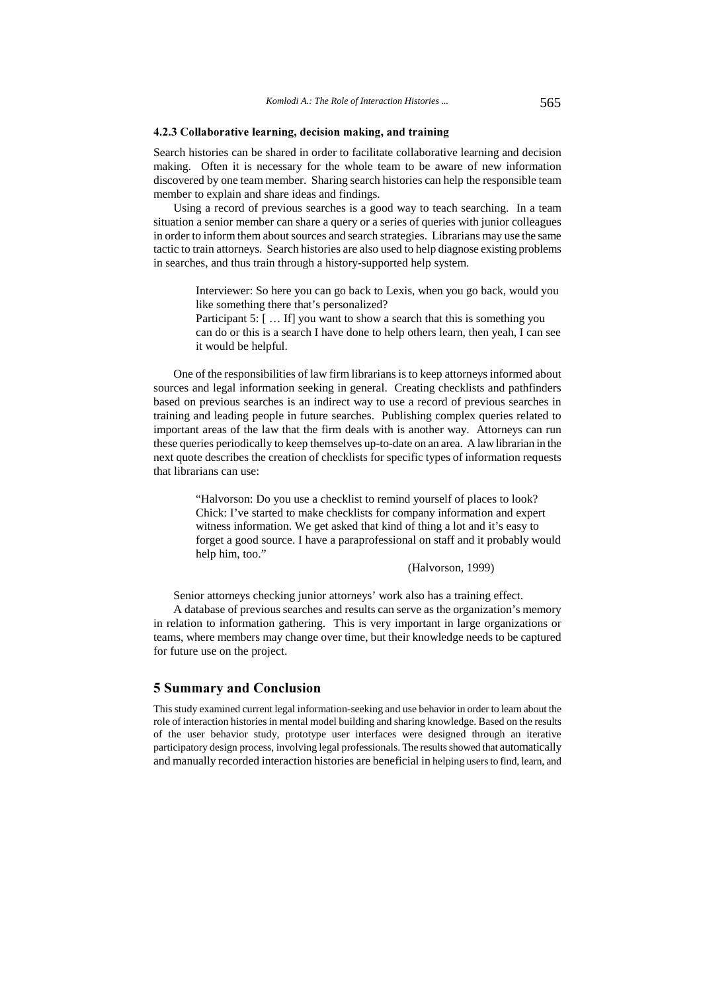#### 4.2.3 Collaborative learning, decision making, and training

Search histories can be shared in order to facilitate collaborative learning and decision making. Often it is necessary for the whole team to be aware of new information discovered by one team member. Sharing search histories can help the responsible team member to explain and share ideas and findings.

Using a record of previous searches is a good way to teach searching. In a team situation a senior member can share a query or a series of queries with junior colleagues in order to inform them about sources and search strategies. Librarians may use the same tactic to train attorneys. Search histories are also used to help diagnose existing problems in searches, and thus train through a history-supported help system.

> Interviewer: So here you can go back to Lexis, when you go back, would you like something there that's personalized?

> Participant 5: [ ... If] you want to show a search that this is something you can do or this is a search I have done to help others learn, then yeah, I can see it would be helpful.

One of the responsibilities of law firm librarians is to keep attorneys informed about sources and legal information seeking in general. Creating checklists and pathfinders based on previous searches is an indirect way to use a record of previous searches in training and leading people in future searches. Publishing complex queries related to important areas of the law that the firm deals with is another way. Attorneys can run these queries periodically to keep themselves up-to-date on an area. A law librarian in the next quote describes the creation of checklists for specific types of information requests that librarians can use:

> "Halvorson: Do you use a checklist to remind yourself of places to look? Chick: I've started to make checklists for company information and expert witness information. We get asked that kind of thing a lot and it's easy to forget a good source. I have a paraprofessional on staff and it probably would help him, too."

#### (Halvorson, 1999)

Senior attorneys checking junior attorneys' work also has a training effect.

A database of previous searches and results can serve as the organization's memory in relation to information gathering. This is very important in large organizations or teams, where members may change over time, but their knowledge needs to be captured for future use on the project.

### 5 Summary and Conclusion

This study examined current legal information-seeking and use behavior in order to learn about the role of interaction histories in mental model building and sharing knowledge. Based on the results of the user behavior study, prototype user interfaces were designed through an iterative participatory design process, involving legal professionals. The results showed that automatically and manually recorded interaction histories are beneficial in helping users to find, learn, and